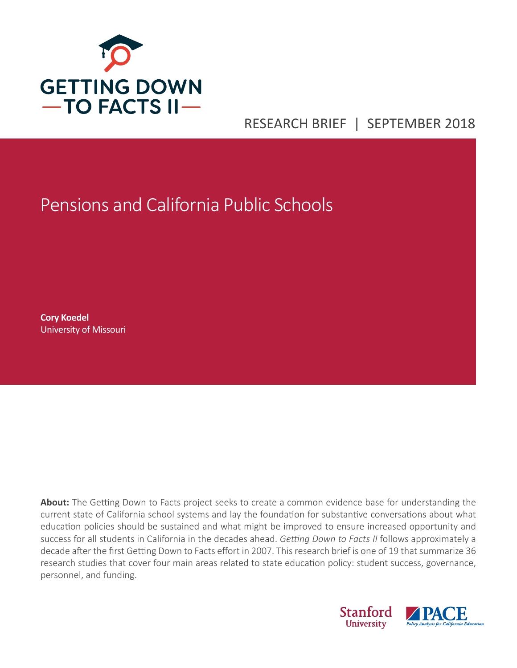

# RESEARCH BRIEF | SEPTEMBER 2018

# Pensions and California Public Schools

**Cory Koedel** University of Missouri

**About:** The Getting Down to Facts project seeks to create a common evidence base for understanding the current state of California school systems and lay the foundation for substantive conversations about what education policies should be sustained and what might be improved to ensure increased opportunity and success for all students in California in the decades ahead. *Getting Down to Facts II* follows approximately a decade after the first Getting Down to Facts effort in 2007. This research brief is one of 19 that summarize 36 research studies that cover four main areas related to state education policy: student success, governance, personnel, and funding.

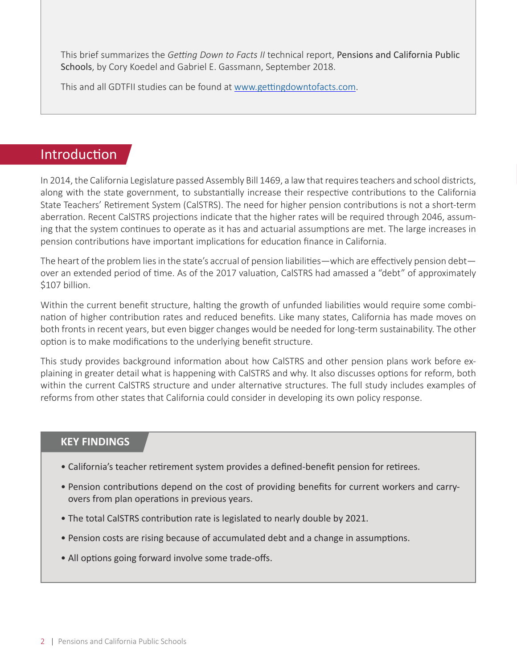This brief summarizes the *Getting Down to Facts II* technical report, Pensions and California Public Schools, by Cory Koedel and Gabriel E. Gassmann, September 2018.

This and all GDTFII studies can be found at [www.gettingdowntofacts.com.](http://www.gettingdowntofacts.com)

## Introduction

In 2014, the California Legislature passed Assembly Bill 1469, a law that requires teachers and school districts, along with the state government, to substantially increase their respective contributions to the California State Teachers' Retirement System (CalSTRS). The need for higher pension contributions is not a short-term aberration. Recent CalSTRS projections indicate that the higher rates will be required through 2046, assuming that the system continues to operate as it has and actuarial assumptions are met. The large increases in pension contributions have important implications for education finance in California.

The heart of the problem lies in the state's accrual of pension liabilities—which are effectively pension debt over an extended period of time. As of the 2017 valuation, CalSTRS had amassed a "debt" of approximately \$107 billion.

Within the current benefit structure, halting the growth of unfunded liabilities would require some combination of higher contribution rates and reduced benefits. Like many states, California has made moves on both fronts in recent years, but even bigger changes would be needed for long-term sustainability. The other option is to make modifications to the underlying benefit structure.

This study provides background information about how CalSTRS and other pension plans work before explaining in greater detail what is happening with CalSTRS and why. It also discusses options for reform, both within the current CalSTRS structure and under alternative structures. The full study includes examples of reforms from other states that California could consider in developing its own policy response.

#### **KEY FINDINGS**

- California's teacher retirement system provides a defined-benefit pension for retirees.
- Pension contributions depend on the cost of providing benefits for current workers and carryovers from plan operations in previous years.
- The total CalSTRS contribution rate is legislated to nearly double by 2021.
- Pension costs are rising because of accumulated debt and a change in assumptions.
- All options going forward involve some trade-offs.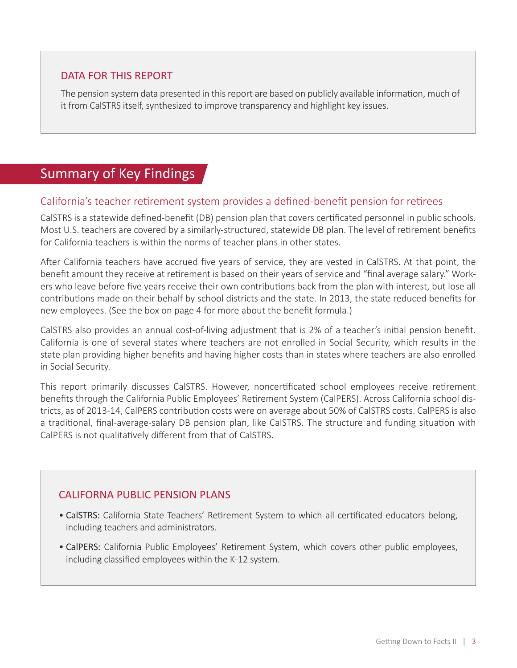#### DATA FOR THIS REPORT

The pension system data presented in this report are based on publicly available information, much of it from CalSTRS itself, synthesized to improve transparency and highlight key issues.

## Summary of Key Findings

#### California's teacher retirement system provides a defined-benefit pension for retirees

CalSTRS is a statewide defined-benefit (DB) pension plan that covers certificated personnel in public schools. Most U.S. teachers are covered by a similarly-structured, statewide DB plan. The level of retirement benefits for California teachers is within the norms of teacher plans in other states.

After California teachers have accrued five years of service, they are vested in CalSTRS. At that point, the benefit amount they receive at retirement is based on their years of service and "final average salary." Workers who leave before five years receive their own contributions back from the plan with interest, but lose all contributions made on their behalf by school districts and the state. In 2013, the state reduced benefits for new employees. (See the box on page 4 for more about the benefit formula.)

CalSTRS also provides an annual cost-of-living adjustment that is 2% of a teacher's initial pension benefit. California is one of several states where teachers are not enrolled in Social Security, which results in the state plan providing higher benefits and having higher costs than in states where teachers are also enrolled in Social Security.

This report primarily discusses CalSTRS. However, noncertificated school employees receive retirement benefits through the California Public Employees' Retirement System (CalPERS). Across California school districts, as of 2013-14, CalPERS contribution costs were on average about 50% of CalSTRS costs. CalPERS is also a traditional, final-average-salary DB pension plan, like CalSTRS. The structure and funding situation with CalPERS is not qualitatively different from that of CalSTRS.

#### CALIFORNA PUBLIC PENSION PLANS

- CalSTRS: California State Teachers' Retirement System to which all certificated educators belong, including teachers and administrators.
- CalPERS: California Public Employees' Retirement System, which covers other public employees, including classified employees within the K-12 system.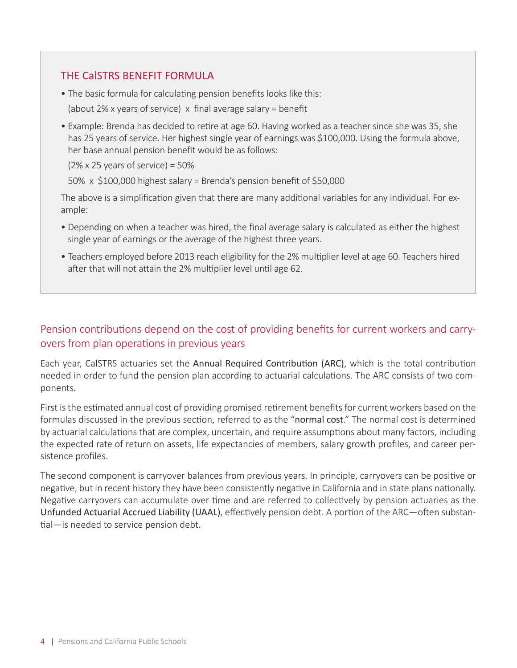#### THE CalSTRS BENEFIT FORMULA

- The basic formula for calculating pension benefits looks like this:
- (about 2% x years of service) x final average salary = benefit
- Example: Brenda has decided to retire at age 60. Having worked as a teacher since she was 35, she has 25 years of service. Her highest single year of earnings was \$100,000. Using the formula above, her base annual pension benefit would be as follows:

 $(2\% \times 25 \text{ years of service}) = 50\%$ 

50%  $\times$  \$100,000 highest salary = Brenda's pension benefit of \$50,000

The above is a simplification given that there are many additional variables for any individual. For example:

- Depending on when a teacher was hired, the final average salary is calculated as either the highest single year of earnings or the average of the highest three years.
- Teachers employed before 2013 reach eligibility for the 2% multiplier level at age 60. Teachers hired after that will not attain the 2% multiplier level until age 62.

#### Pension contributions depend on the cost of providing benefits for current workers and carryovers from plan operations in previous years

Each year, CalSTRS actuaries set the Annual Required Contribution (ARC), which is the total contribution needed in order to fund the pension plan according to actuarial calculations. The ARC consists of two components.

First is the estimated annual cost of providing promised retirement benefits for current workers based on the formulas discussed in the previous section, referred to as the "normal cost." The normal cost is determined by actuarial calculations that are complex, uncertain, and require assumptions about many factors, including the expected rate of return on assets, life expectancies of members, salary growth profiles, and career persistence profiles.

The second component is carryover balances from previous years. In principle, carryovers can be positive or negative, but in recent history they have been consistently negative in California and in state plans nationally. Negative carryovers can accumulate over time and are referred to collectively by pension actuaries as the Unfunded Actuarial Accrued Liability (UAAL), effectively pension debt. A portion of the ARC—often substantial—is needed to service pension debt.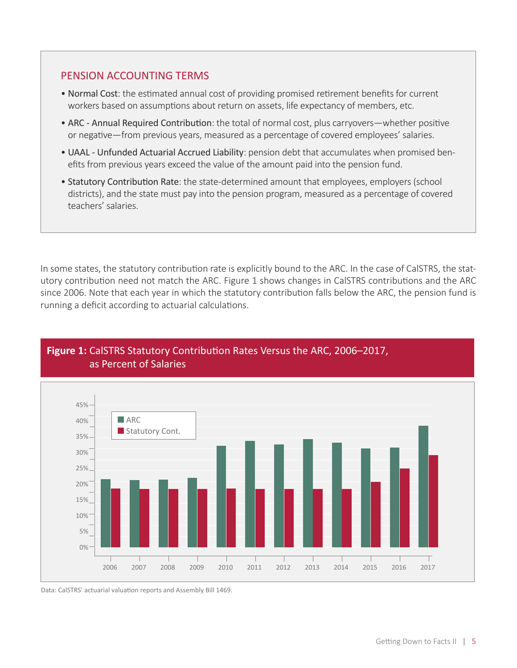#### PENSION ACCOUNTING TERMS

- Normal Cost: the estimated annual cost of providing promised retirement benefits for current workers based on assumptions about return on assets, life expectancy of members, etc.
- ARC Annual Required Contribution: the total of normal cost, plus carryovers—whether positive or negative—from previous years, measured as a percentage of covered employees' salaries.
- UAAL Unfunded Actuarial Accrued Liability: pension debt that accumulates when promised benefits from previous years exceed the value of the amount paid into the pension fund.
- Statutory Contribution Rate: the state-determined amount that employees, employers (school districts), and the state must pay into the pension program, measured as a percentage of covered teachers' salaries.

In some states, the statutory contribution rate is explicitly bound to the ARC. In the case of CalSTRS, the statutory contribution need not match the ARC. Figure 1 shows changes in CalSTRS contributions and the ARC since 2006. Note that each year in which the statutory contribution falls below the ARC, the pension fund is running a deficit according to actuarial calculations.



#### **Figure 1:** CalSTRS Statutory Contribution Rates Versus the ARC, 2006–2017, as Percent of Salaries

Data: CalSTRS' actuarial valuation reports and Assembly Bill 1469.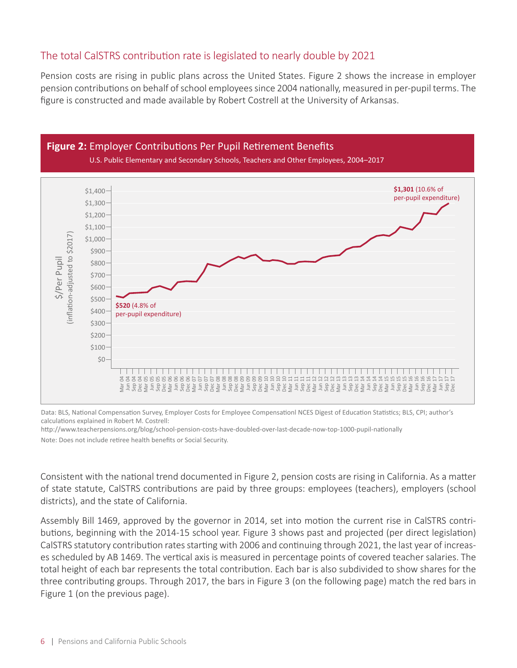#### The total CalSTRS contribution rate is legislated to nearly double by 2021

Pension costs are rising in public plans across the United States. Figure 2 shows the increase in employer pension contributions on behalf of school employees since 2004 nationally, measured in per-pupil terms. The figure is constructed and made available by Robert Costrell at the University of Arkansas.



Data: BLS, National Compensation Survey, Employer Costs for Employee Compensationl NCES Digest of Education Statistics; BLS, CPI; author's calculations explained in Robert M. Costrell:

http://www.teacherpensions.org/blog/school-pension-costs-have-doubled-over-last-decade-now-top-1000-pupil-nationally

Consistent with the national trend documented in Figure 2, pension costs are rising in California. As a matter of state statute, CalSTRS contributions are paid by three groups: employees (teachers), employers (school districts), and the state of California.

Assembly Bill 1469, approved by the governor in 2014, set into motion the current rise in CalSTRS contributions, beginning with the 2014-15 school year. Figure 3 shows past and projected (per direct legislation) CalSTRS statutory contribution rates starting with 2006 and continuing through 2021, the last year of increases scheduled by AB 1469. The vertical axis is measured in percentage points of covered teacher salaries. The total height of each bar represents the total contribution. Each bar is also subdivided to show shares for the three contributing groups. Through 2017, the bars in Figure 3 (on the following page) match the red bars in Figure 1 (on the previous page).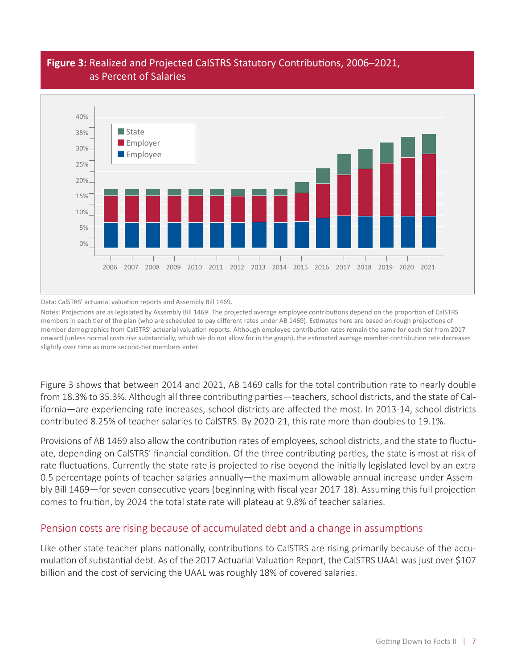

#### **Figure 3:** Realized and Projected CalSTRS Statutory Contributions, 2006–2021, as Percent of Salaries

Data: CalSTRS' actuarial valuation reports and Assembly Bill 1469.

Notes: Projections are as legislated by Assembly Bill 1469. The projected average employee contributions depend on the proportion of CalSTRS members in each tier of the plan (who are scheduled to pay different rates under AB 1469). Estimates here are based on rough projections of member demographics from CalSTRS' actuarial valuation reports. Although employee contribution rates remain the same for each tier from 2017 onward (unless normal costs rise substantially, which we do not allow for in the graph), the estimated average member contribution rate decreases slightly over time as more second-tier members enter.

Figure 3 shows that between 2014 and 2021, AB 1469 calls for the total contribution rate to nearly double from 18.3% to 35.3%. Although all three contributing parties—teachers, school districts, and the state of California—are experiencing rate increases, school districts are affected the most. In 2013-14, school districts contributed 8.25% of teacher salaries to CalSTRS. By 2020-21, this rate more than doubles to 19.1%.

Provisions of AB 1469 also allow the contribution rates of employees, school districts, and the state to fluctuate, depending on CalSTRS' financial condition. Of the three contributing parties, the state is most at risk of rate fluctuations. Currently the state rate is projected to rise beyond the initially legislated level by an extra 0.5 percentage points of teacher salaries annually—the maximum allowable annual increase under Assembly Bill 1469—for seven consecutive years (beginning with fiscal year 2017-18). Assuming this full projection comes to fruition, by 2024 the total state rate will plateau at 9.8% of teacher salaries.

#### Pension costs are rising because of accumulated debt and a change in assumptions

Like other state teacher plans nationally, contributions to CalSTRS are rising primarily because of the accumulation of substantial debt. As of the 2017 Actuarial Valuation Report, the CalSTRS UAAL was just over \$107 billion and the cost of servicing the UAAL was roughly 18% of covered salaries.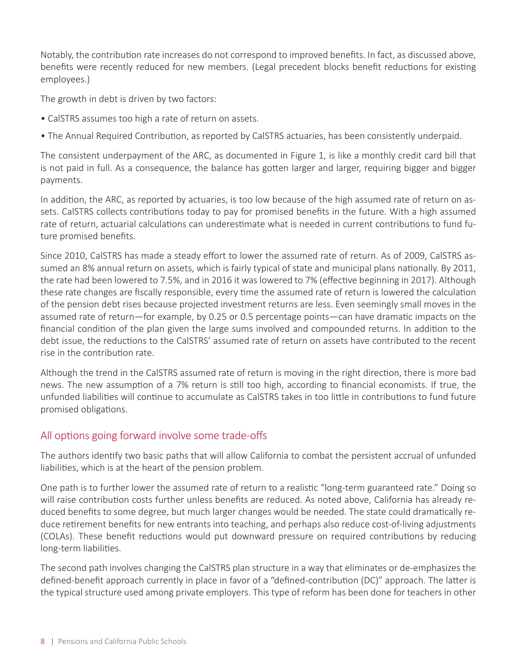Notably, the contribution rate increases do not correspond to improved benefits. In fact, as discussed above, benefits were recently reduced for new members. (Legal precedent blocks benefit reductions for existing employees.)

The growth in debt is driven by two factors:

- CalSTRS assumes too high a rate of return on assets.
- The Annual Required Contribution, as reported by CalSTRS actuaries, has been consistently underpaid.

The consistent underpayment of the ARC, as documented in Figure 1, is like a monthly credit card bill that is not paid in full. As a consequence, the balance has gotten larger and larger, requiring bigger and bigger payments.

In addition, the ARC, as reported by actuaries, is too low because of the high assumed rate of return on assets. CalSTRS collects contributions today to pay for promised benefits in the future. With a high assumed rate of return, actuarial calculations can underestimate what is needed in current contributions to fund future promised benefits.

Since 2010, CalSTRS has made a steady effort to lower the assumed rate of return. As of 2009, CalSTRS assumed an 8% annual return on assets, which is fairly typical of state and municipal plans nationally. By 2011, the rate had been lowered to 7.5%, and in 2016 it was lowered to 7% (effective beginning in 2017). Although these rate changes are fiscally responsible, every time the assumed rate of return is lowered the calculation of the pension debt rises because projected investment returns are less. Even seemingly small moves in the assumed rate of return—for example, by 0.25 or 0.5 percentage points—can have dramatic impacts on the financial condition of the plan given the large sums involved and compounded returns. In addition to the debt issue, the reductions to the CalSTRS' assumed rate of return on assets have contributed to the recent rise in the contribution rate.

Although the trend in the CalSTRS assumed rate of return is moving in the right direction, there is more bad news. The new assumption of a 7% return is still too high, according to financial economists. If true, the unfunded liabilities will continue to accumulate as CalSTRS takes in too little in contributions to fund future promised obligations.

#### All options going forward involve some trade-offs

The authors identify two basic paths that will allow California to combat the persistent accrual of unfunded liabilities, which is at the heart of the pension problem.

One path is to further lower the assumed rate of return to a realistic "long-term guaranteed rate." Doing so will raise contribution costs further unless benefits are reduced. As noted above, California has already reduced benefits to some degree, but much larger changes would be needed. The state could dramatically reduce retirement benefits for new entrants into teaching, and perhaps also reduce cost-of-living adjustments (COLAs). These benefit reductions would put downward pressure on required contributions by reducing long-term liabilities.

The second path involves changing the CalSTRS plan structure in a way that eliminates or de-emphasizes the defined-benefit approach currently in place in favor of a "defined-contribution (DC)" approach. The latter is the typical structure used among private employers. This type of reform has been done for teachers in other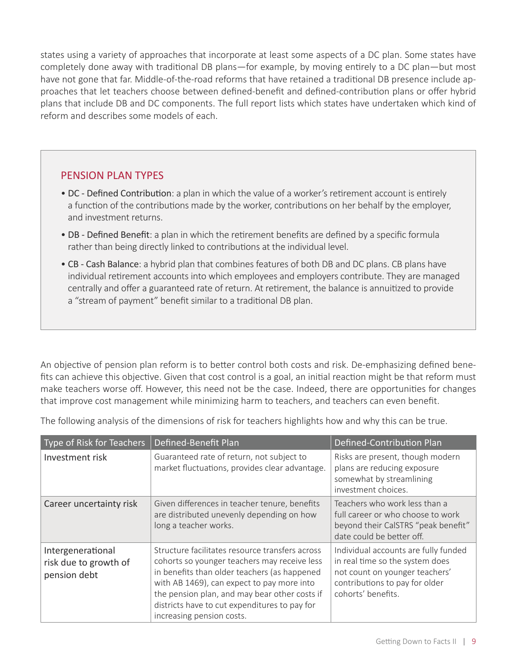states using a variety of approaches that incorporate at least some aspects of a DC plan. Some states have completely done away with traditional DB plans—for example, by moving entirely to a DC plan—but most have not gone that far. Middle-of-the-road reforms that have retained a traditional DB presence include approaches that let teachers choose between defined-benefit and defined-contribution plans or offer hybrid plans that include DB and DC components. The full report lists which states have undertaken which kind of reform and describes some models of each.

#### PENSION PLAN TYPES

- DC Defined Contribution: a plan in which the value of a worker's retirement account is entirely a function of the contributions made by the worker, contributions on her behalf by the employer, and investment returns.
- DB Defined Benefit: a plan in which the retirement benefits are defined by a specific formula rather than being directly linked to contributions at the individual level.
- CB Cash Balance: a hybrid plan that combines features of both DB and DC plans. CB plans have individual retirement accounts into which employees and employers contribute. They are managed centrally and offer a guaranteed rate of return. At retirement, the balance is annuitized to provide a "stream of payment" benefit similar to a traditional DB plan.

An objective of pension plan reform is to better control both costs and risk. De-emphasizing defined benefits can achieve this objective. Given that cost control is a goal, an initial reaction might be that reform must make teachers worse off. However, this need not be the case. Indeed, there are opportunities for changes that improve cost management while minimizing harm to teachers, and teachers can even benefit.

The following analysis of the dimensions of risk for teachers highlights how and why this can be true.

| Type of Risk for Teachers                                  | Defined-Benefit Plan                                                                                                                                                                                                                                                                                                         | Defined-Contribution Plan                                                                                                                                         |
|------------------------------------------------------------|------------------------------------------------------------------------------------------------------------------------------------------------------------------------------------------------------------------------------------------------------------------------------------------------------------------------------|-------------------------------------------------------------------------------------------------------------------------------------------------------------------|
| Investment risk                                            | Guaranteed rate of return, not subject to<br>market fluctuations, provides clear advantage.                                                                                                                                                                                                                                  | Risks are present, though modern<br>plans are reducing exposure<br>somewhat by streamlining<br>investment choices.                                                |
| Career uncertainty risk                                    | Given differences in teacher tenure, benefits<br>are distributed unevenly depending on how<br>long a teacher works.                                                                                                                                                                                                          | Teachers who work less than a<br>full career or who choose to work<br>beyond their CalSTRS "peak benefit"<br>date could be better off.                            |
| Intergenerational<br>risk due to growth of<br>pension debt | Structure facilitates resource transfers across<br>cohorts so younger teachers may receive less<br>in benefits than older teachers (as happened<br>with AB 1469), can expect to pay more into<br>the pension plan, and may bear other costs if<br>districts have to cut expenditures to pay for<br>increasing pension costs. | Individual accounts are fully funded<br>in real time so the system does<br>not count on younger teachers'<br>contributions to pay for older<br>cohorts' benefits. |